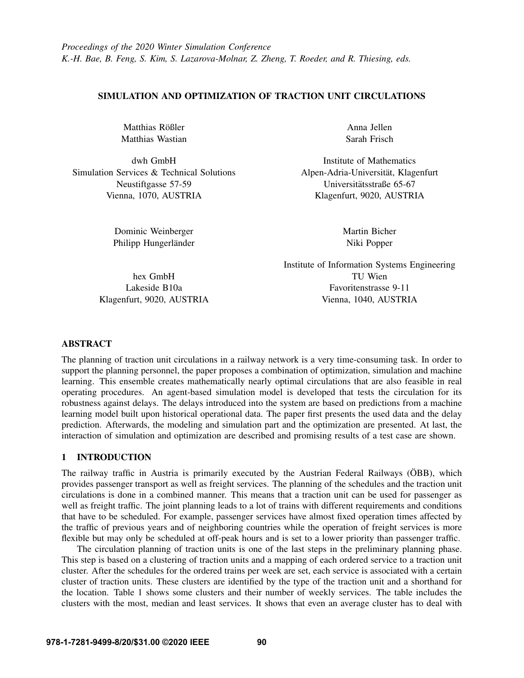# SIMULATION AND OPTIMIZATION OF TRACTION UNIT CIRCULATIONS

Matthias Rößler Matthias Wastian

dwh GmbH Simulation Services & Technical Solutions Neustiftgasse 57-59 Vienna, 1070, AUSTRIA

> Dominic Weinberger Philipp Hungerländer

hex GmbH Lakeside B10a Klagenfurt, 9020, AUSTRIA

Sarah Frisch Institute of Mathematics

Anna Jellen

Alpen-Adria-Universitat, Klagenfurt ¨ Universitätsstraße 65-67 Klagenfurt, 9020, AUSTRIA

> Martin Bicher Niki Popper

Institute of Information Systems Engineering TU Wien Favoritenstrasse 9-11 Vienna, 1040, AUSTRIA

# ABSTRACT

The planning of traction unit circulations in a railway network is a very time-consuming task. In order to support the planning personnel, the paper proposes a combination of optimization, simulation and machine learning. This ensemble creates mathematically nearly optimal circulations that are also feasible in real operating procedures. An agent-based simulation model is developed that tests the circulation for its robustness against delays. The delays introduced into the system are based on predictions from a machine learning model built upon historical operational data. The paper first presents the used data and the delay prediction. Afterwards, the modeling and simulation part and the optimization are presented. At last, the interaction of simulation and optimization are described and promising results of a test case are shown.

# <span id="page-0-0"></span>1 INTRODUCTION

The railway traffic in Austria is primarily executed by the Austrian Federal Railways (OBB), which provides passenger transport as well as freight services. The planning of the schedules and the traction unit circulations is done in a combined manner. This means that a traction unit can be used for passenger as well as freight traffic. The joint planning leads to a lot of trains with different requirements and conditions that have to be scheduled. For example, passenger services have almost fixed operation times affected by the traffic of previous years and of neighboring countries while the operation of freight services is more flexible but may only be scheduled at off-peak hours and is set to a lower priority than passenger traffic.

The circulation planning of traction units is one of the last steps in the preliminary planning phase. This step is based on a clustering of traction units and a mapping of each ordered service to a traction unit cluster. After the schedules for the ordered trains per week are set, each service is associated with a certain cluster of traction units. These clusters are identified by the type of the traction unit and a shorthand for the location. Table [1](#page-1-0) shows some clusters and their number of weekly services. The table includes the clusters with the most, median and least services. It shows that even an average cluster has to deal with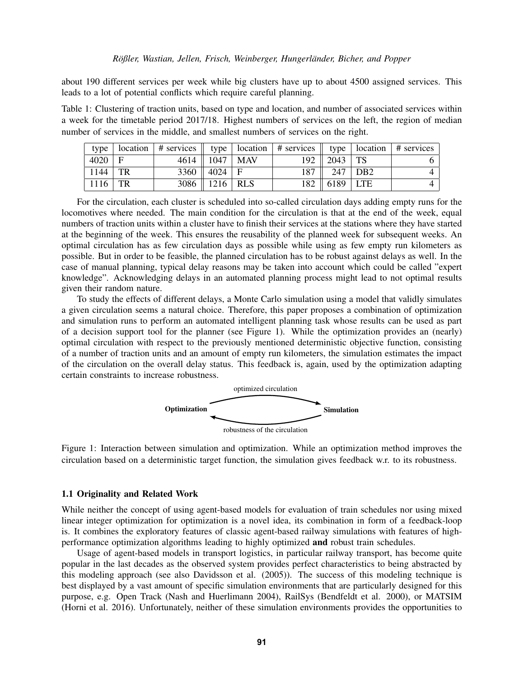about 190 different services per week while big clusters have up to about 4500 assigned services. This leads to a lot of potential conflicts which require careful planning.

<span id="page-1-0"></span>Table 1: Clustering of traction units, based on type and location, and number of associated services within a week for the timetable period 2017/18. Highest numbers of services on the left, the region of median number of services in the middle, and smallest numbers of services on the right.

|                         |  |                                | type   location   # services    type   location   # services    type   location   # services |                              |  |
|-------------------------|--|--------------------------------|----------------------------------------------------------------------------------------------|------------------------------|--|
| $4020 \mid F$           |  | 4614   1047   MAV              |                                                                                              | 192   2043   TS              |  |
| $\vert$ 1144 $\vert$ TR |  | 3360 $\parallel$ 4024 F        |                                                                                              | $187 \parallel 247 \mid DB2$ |  |
| 1116   TR               |  | 3086   1216   $\overline{RLS}$ |                                                                                              | 182 $\vert$ 6189 $\vert$ LTE |  |

For the circulation, each cluster is scheduled into so-called circulation days adding empty runs for the locomotives where needed. The main condition for the circulation is that at the end of the week, equal numbers of traction units within a cluster have to finish their services at the stations where they have started at the beginning of the week. This ensures the reusability of the planned week for subsequent weeks. An optimal circulation has as few circulation days as possible while using as few empty run kilometers as possible. But in order to be feasible, the planned circulation has to be robust against delays as well. In the case of manual planning, typical delay reasons may be taken into account which could be called "expert knowledge". Acknowledging delays in an automated planning process might lead to not optimal results given their random nature.

To study the effects of different delays, a Monte Carlo simulation using a model that validly simulates a given circulation seems a natural choice. Therefore, this paper proposes a combination of optimization and simulation runs to perform an automated intelligent planning task whose results can be used as part of a decision support tool for the planner (see Figure [1\)](#page-1-1). While the optimization provides an (nearly) optimal circulation with respect to the previously mentioned deterministic objective function, consisting of a number of traction units and an amount of empty run kilometers, the simulation estimates the impact of the circulation on the overall delay status. This feedback is, again, used by the optimization adapting certain constraints to increase robustness.



<span id="page-1-1"></span>Figure 1: Interaction between simulation and optimization. While an optimization method improves the circulation based on a deterministic target function, the simulation gives feedback w.r. to its robustness.

# 1.1 Originality and Related Work

While neither the concept of using agent-based models for evaluation of train schedules nor using mixed linear integer optimization for optimization is a novel idea, its combination in form of a feedback-loop is. It combines the exploratory features of classic agent-based railway simulations with features of highperformance optimization algorithms leading to highly optimized and robust train schedules.

Usage of agent-based models in transport logistics, in particular railway transport, has become quite popular in the last decades as the observed system provides perfect characteristics to being abstracted by this modeling approach (see also [Davidsson et al. \(2005\)\)](#page-10-0). The success of this modeling technique is best displayed by a vast amount of specific simulation environments that are particularly designed for this purpose, e.g. Open Track [\(Nash and Huerlimann 2004\)](#page-11-0), RailSys [\(Bendfeldt et al. 2000\)](#page-10-1), or MATSIM [\(Horni et al. 2016\)](#page-10-2). Unfortunately, neither of these simulation environments provides the opportunities to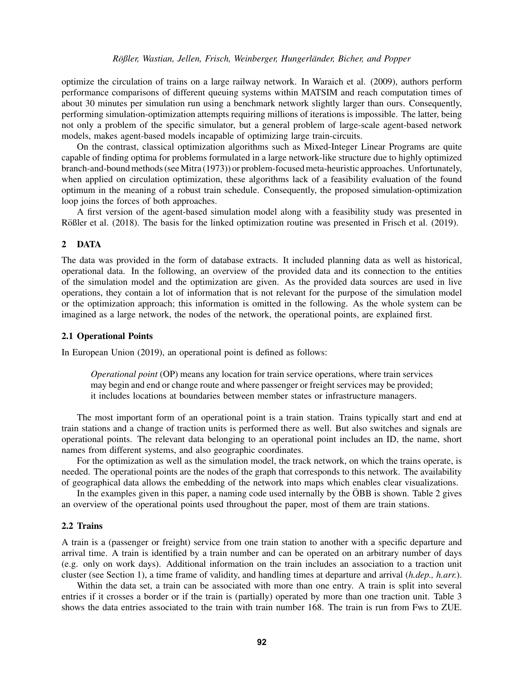optimize the circulation of trains on a large railway network. In [Waraich et al. \(2009\),](#page-11-1) authors perform performance comparisons of different queuing systems within MATSIM and reach computation times of about 30 minutes per simulation run using a benchmark network slightly larger than ours. Consequently, performing simulation-optimization attempts requiring millions of iterations is impossible. The latter, being not only a problem of the specific simulator, but a general problem of large-scale agent-based network models, makes agent-based models incapable of optimizing large train-circuits.

On the contrast, classical optimization algorithms such as Mixed-Integer Linear Programs are quite capable of finding optima for problems formulated in a large network-like structure due to highly optimized branch-and-bound methods (see[Mitra \(1973\)\)](#page-11-2) or problem-focused meta-heuristic approaches. Unfortunately, when applied on circulation optimization, these algorithms lack of a feasibility evaluation of the found optimum in the meaning of a robust train schedule. Consequently, the proposed simulation-optimization loop joins the forces of both approaches.

A first version of the agent-based simulation model along with a feasibility study was presented in Rößler et al. (2018). The basis for the linked optimization routine was presented in [Frisch et al. \(2019\).](#page-10-3)

#### 2 DATA

The data was provided in the form of database extracts. It included planning data as well as historical, operational data. In the following, an overview of the provided data and its connection to the entities of the simulation model and the optimization are given. As the provided data sources are used in live operations, they contain a lot of information that is not relevant for the purpose of the simulation model or the optimization approach; this information is omitted in the following. As the whole system can be imagined as a large network, the nodes of the network, the operational points, are explained first.

# 2.1 Operational Points

In [European Union \(2019\),](#page-10-4) an operational point is defined as follows:

*Operational point* (OP) means any location for train service operations, where train services may begin and end or change route and where passenger or freight services may be provided; it includes locations at boundaries between member states or infrastructure managers.

The most important form of an operational point is a train station. Trains typically start and end at train stations and a change of traction units is performed there as well. But also switches and signals are operational points. The relevant data belonging to an operational point includes an ID, the name, short names from different systems, and also geographic coordinates.

For the optimization as well as the simulation model, the track network, on which the trains operate, is needed. The operational points are the nodes of the graph that corresponds to this network. The availability of geographical data allows the embedding of the network into maps which enables clear visualizations.

In the examples given in this paper, a naming code used internally by the  $\overline{O}BB$  is shown. Table [2](#page-3-0) gives an overview of the operational points used throughout the paper, most of them are train stations.

#### 2.2 Trains

A train is a (passenger or freight) service from one train station to another with a specific departure and arrival time. A train is identified by a train number and can be operated on an arbitrary number of days (e.g. only on work days). Additional information on the train includes an association to a traction unit cluster (see Section [1\)](#page-0-0), a time frame of validity, and handling times at departure and arrival (*h.dep., h.arr.*).

Within the data set, a train can be associated with more than one entry. A train is split into several entries if it crosses a border or if the train is (partially) operated by more than one traction unit. Table [3](#page-3-1) shows the data entries associated to the train with train number 168. The train is run from Fws to ZUE.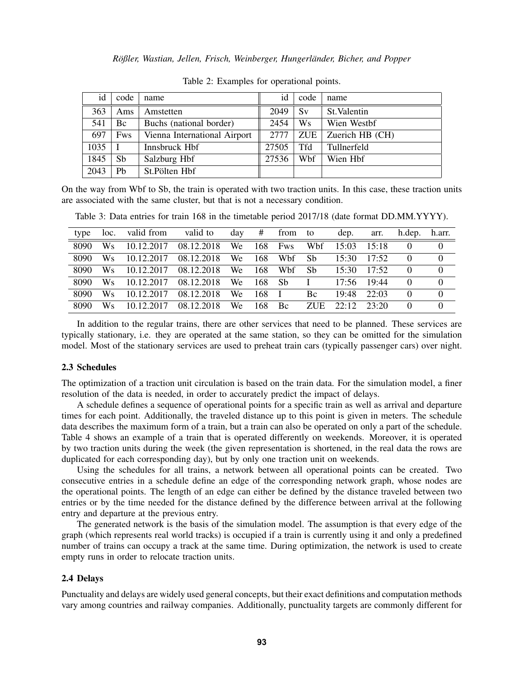| id   | code       | name                         | id    | code      | name            |
|------|------------|------------------------------|-------|-----------|-----------------|
| 363  | Ams        | Amstetten                    | 2049  | <b>Sv</b> | St. Valentin    |
| 541  | Bc         | Buchs (national border)      | 2454  | Ws        | Wien Westbf     |
| 697  | <b>Fws</b> | Vienna International Airport | 2777  | ZUE       | Zuerich HB (CH) |
| 1035 |            | Innsbruck Hbf                | 27505 | Tfd       | Tullnerfeld     |
| 1845 | Sb         | Salzburg Hbf                 | 27536 | Whf       | Wien Hbf        |
| 2043 | Pb         | St.Pölten Hbf                |       |           |                 |

<span id="page-3-0"></span>Table 2: Examples for operational points.

On the way from Wbf to Sb, the train is operated with two traction units. In this case, these traction units are associated with the same cluster, but that is not a necessary condition.

| type | loc. | valid from | valid to   | day | #   | from       | to  | dep.  | arr.  | h.dep.   | h.arr.   |
|------|------|------------|------------|-----|-----|------------|-----|-------|-------|----------|----------|
| 8090 | Ws   | 10.12.2017 | 08.12.2018 | We  | 168 | <b>Fws</b> | Whf | 15:03 | 15:18 |          |          |
| 8090 | Ws   | 10.12.2017 | 08.12.2018 | We  | 168 | Wbf        | Sb  | 15:30 | 17:52 |          | $\Omega$ |
| 8090 | Ws   | 10.12.2017 | 08.12.2018 | We  | 168 | Whf        | Sb  | 15:30 | 17:52 |          |          |
| 8090 | Ws.  | 10 12 2017 | 08.12.2018 | We  | 168 | Sb         |     | 17:56 | 19.44 | $\Omega$ | $\Omega$ |
| 8090 | Ws   | 10 12 2017 | 08.12.2018 | We  | 168 |            | Bc  | 19:48 | 22.03 | $\theta$ | $\Omega$ |
| 8090 | Ws   | 10 12 2017 | 08.12.2018 | We  | 168 | Bc         | ZUE | 22.12 | 23.20 | $\Omega$ | $\Omega$ |

<span id="page-3-1"></span>Table 3: Data entries for train 168 in the timetable period 2017/18 (date format DD.MM.YYYY).

In addition to the regular trains, there are other services that need to be planned. These services are typically stationary, i.e. they are operated at the same station, so they can be omitted for the simulation model. Most of the stationary services are used to preheat train cars (typically passenger cars) over night.

# <span id="page-3-2"></span>2.3 Schedules

The optimization of a traction unit circulation is based on the train data. For the simulation model, a finer resolution of the data is needed, in order to accurately predict the impact of delays.

A schedule defines a sequence of operational points for a specific train as well as arrival and departure times for each point. Additionally, the traveled distance up to this point is given in meters. The schedule data describes the maximum form of a train, but a train can also be operated on only a part of the schedule. Table [4](#page-4-0) shows an example of a train that is operated differently on weekends. Moreover, it is operated by two traction units during the week (the given representation is shortened, in the real data the rows are duplicated for each corresponding day), but by only one traction unit on weekends.

Using the schedules for all trains, a network between all operational points can be created. Two consecutive entries in a schedule define an edge of the corresponding network graph, whose nodes are the operational points. The length of an edge can either be defined by the distance traveled between two entries or by the time needed for the distance defined by the difference between arrival at the following entry and departure at the previous entry.

The generated network is the basis of the simulation model. The assumption is that every edge of the graph (which represents real world tracks) is occupied if a train is currently using it and only a predefined number of trains can occupy a track at the same time. During optimization, the network is used to create empty runs in order to relocate traction units.

# <span id="page-3-3"></span>2.4 Delays

Punctuality and delays are widely used general concepts, but their exact definitions and computation methods vary among countries and railway companies. Additionally, punctuality targets are commonly different for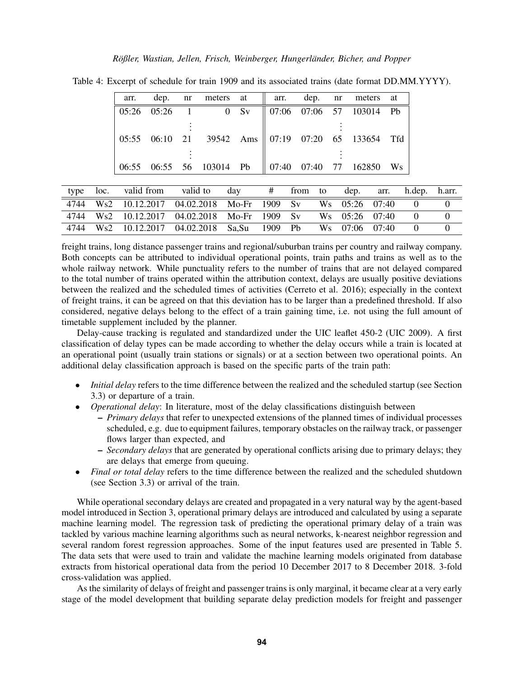<span id="page-4-0"></span>

|  |  | arr. dep. nr meters at                             |  |  | arr. dep. nr meters at               |  |
|--|--|----------------------------------------------------|--|--|--------------------------------------|--|
|  |  | $05:26$ $05:26$ 1 0 Sv                             |  |  | $\parallel$ 07:06 07:06 57 103014 Pb |  |
|  |  |                                                    |  |  |                                      |  |
|  |  | 05:55 06:10 21 39542 Ams 07:19 07:20 65 133654 Tfd |  |  |                                      |  |
|  |  |                                                    |  |  |                                      |  |
|  |  |                                                    |  |  |                                      |  |
|  |  |                                                    |  |  |                                      |  |

Table 4: Excerpt of schedule for train 1909 and its associated trains (date format DD.MM.YYYY).

| type | loc. | valid from     | valid to          | day | #            | from      | to | dep.             | arr. | h.dep. | h.arr. |
|------|------|----------------|-------------------|-----|--------------|-----------|----|------------------|------|--------|--------|
| 4744 |      | Ws2 10.12.2017 | 04.02.2018 Mo-Fr  |     | $1909 \,$ Sv |           |    | $Ws$ 05:26 07:40 |      |        |        |
| 4744 |      | Ws2 10.12.2017 | 04.02.2018 Mo-Fr  |     | - 1909       | Sv        |    | $Ws$ 05:26 07:40 |      |        |        |
| 4744 | Ws2  | 10.12.2017     | 04.02.2018 Sa, Su |     | 1909         | <b>Ph</b> |    | $Ws$ 07:06 07:40 |      |        |        |

freight trains, long distance passenger trains and regional/suburban trains per country and railway company. Both concepts can be attributed to individual operational points, train paths and trains as well as to the whole railway network. While punctuality refers to the number of trains that are not delayed compared to the total number of trains operated within the attribution context, delays are usually positive deviations between the realized and the scheduled times of activities [\(Cerreto et al. 2016\)](#page-10-5); especially in the context of freight trains, it can be agreed on that this deviation has to be larger than a predefined threshold. If also considered, negative delays belong to the effect of a train gaining time, i.e. not using the full amount of timetable supplement included by the planner.

Delay-cause tracking is regulated and standardized under the UIC leaflet 450-2 [\(UIC 2009\)](#page-11-4). A first classification of delay types can be made according to whether the delay occurs while a train is located at an operational point (usually train stations or signals) or at a section between two operational points. An additional delay classification approach is based on the specific parts of the train path:

- *Initial delay* refers to the time difference between the realized and the scheduled startup (see Section [3.3\)](#page-6-0) or departure of a train.
- *Operational delay*: In literature, most of the delay classifications distinguish between
	- *Primary delays* that refer to unexpected extensions of the planned times of individual processes scheduled, e.g. due to equipment failures, temporary obstacles on the railway track, or passenger flows larger than expected, and
	- *Secondary delays* that are generated by operational conflicts arising due to primary delays; they are delays that emerge from queuing.
- *Final or total delay* refers to the time difference between the realized and the scheduled shutdown (see Section [3.3\)](#page-6-0) or arrival of the train.

While operational secondary delays are created and propagated in a very natural way by the agent-based model introduced in Section [3,](#page-5-0) operational primary delays are introduced and calculated by using a separate machine learning model. The regression task of predicting the operational primary delay of a train was tackled by various machine learning algorithms such as neural networks, k-nearest neighbor regression and several random forest regression approaches. Some of the input features used are presented in Table [5.](#page-5-1) The data sets that were used to train and validate the machine learning models originated from database extracts from historical operational data from the period 10 December 2017 to 8 December 2018. 3-fold cross-validation was applied.

As the similarity of delays of freight and passenger trains is only marginal, it became clear at a very early stage of the model development that building separate delay prediction models for freight and passenger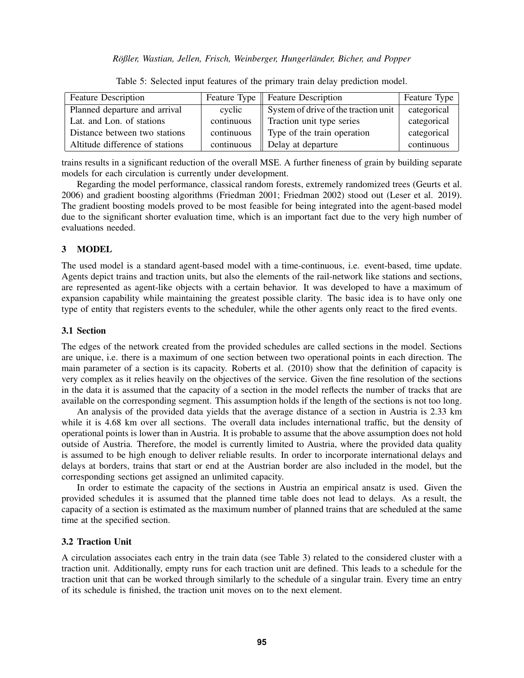| <b>Feature Description</b>      | Feature Type | Feature Description                  | Feature Type |
|---------------------------------|--------------|--------------------------------------|--------------|
| Planned departure and arrival   | cyclic       | System of drive of the traction unit | categorical  |
| Lat. and Lon. of stations       | continuous   | Traction unit type series            | categorical  |
| Distance between two stations   | continuous   | Type of the train operation          | categorical  |
| Altitude difference of stations | continuous   | Delay at departure                   | continuous   |

<span id="page-5-1"></span>Table 5: Selected input features of the primary train delay prediction model.

trains results in a significant reduction of the overall MSE. A further fineness of grain by building separate models for each circulation is currently under development.

Regarding the model performance, classical random forests, extremely randomized trees [\(Geurts et al.](#page-10-6) [2006\)](#page-10-6) and gradient boosting algorithms [\(Friedman 2001;](#page-10-7) [Friedman 2002\)](#page-10-8) stood out [\(Leser et al. 2019\)](#page-10-9). The gradient boosting models proved to be most feasible for being integrated into the agent-based model due to the significant shorter evaluation time, which is an important fact due to the very high number of evaluations needed.

# <span id="page-5-0"></span>3 MODEL

The used model is a standard agent-based model with a time-continuous, i.e. event-based, time update. Agents depict trains and traction units, but also the elements of the rail-network like stations and sections, are represented as agent-like objects with a certain behavior. It was developed to have a maximum of expansion capability while maintaining the greatest possible clarity. The basic idea is to have only one type of entity that registers events to the scheduler, while the other agents only react to the fired events.

### 3.1 Section

The edges of the network created from the provided schedules are called sections in the model. Sections are unique, i.e. there is a maximum of one section between two operational points in each direction. The main parameter of a section is its capacity. [Roberts et al. \(2010\)](#page-11-5) show that the definition of capacity is very complex as it relies heavily on the objectives of the service. Given the fine resolution of the sections in the data it is assumed that the capacity of a section in the model reflects the number of tracks that are available on the corresponding segment. This assumption holds if the length of the sections is not too long.

An analysis of the provided data yields that the average distance of a section in Austria is 2.33 km while it is 4.68 km over all sections. The overall data includes international traffic, but the density of operational points is lower than in Austria. It is probable to assume that the above assumption does not hold outside of Austria. Therefore, the model is currently limited to Austria, where the provided data quality is assumed to be high enough to deliver reliable results. In order to incorporate international delays and delays at borders, trains that start or end at the Austrian border are also included in the model, but the corresponding sections get assigned an unlimited capacity.

In order to estimate the capacity of the sections in Austria an empirical ansatz is used. Given the provided schedules it is assumed that the planned time table does not lead to delays. As a result, the capacity of a section is estimated as the maximum number of planned trains that are scheduled at the same time at the specified section.

#### 3.2 Traction Unit

A circulation associates each entry in the train data (see Table [3\)](#page-3-1) related to the considered cluster with a traction unit. Additionally, empty runs for each traction unit are defined. This leads to a schedule for the traction unit that can be worked through similarly to the schedule of a singular train. Every time an entry of its schedule is finished, the traction unit moves on to the next element.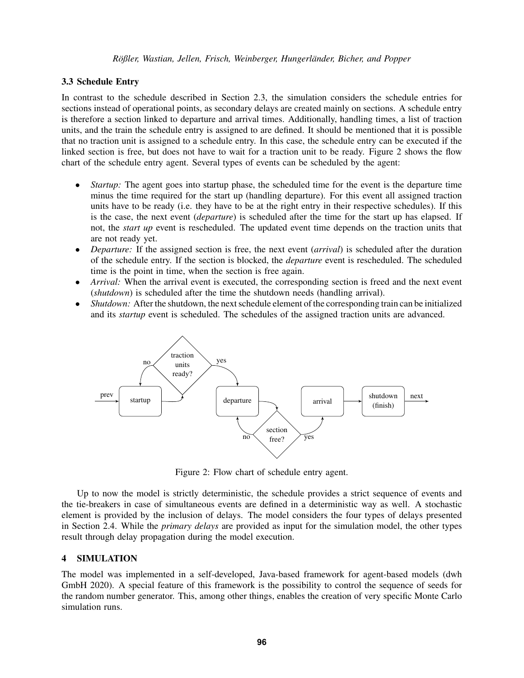# <span id="page-6-0"></span>3.3 Schedule Entry

In contrast to the schedule described in Section [2.3,](#page-3-2) the simulation considers the schedule entries for sections instead of operational points, as secondary delays are created mainly on sections. A schedule entry is therefore a section linked to departure and arrival times. Additionally, handling times, a list of traction units, and the train the schedule entry is assigned to are defined. It should be mentioned that it is possible that no traction unit is assigned to a schedule entry. In this case, the schedule entry can be executed if the linked section is free, but does not have to wait for a traction unit to be ready. Figure [2](#page-6-1) shows the flow chart of the schedule entry agent. Several types of events can be scheduled by the agent:

- *Startup:* The agent goes into startup phase, the scheduled time for the event is the departure time minus the time required for the start up (handling departure). For this event all assigned traction units have to be ready (i.e. they have to be at the right entry in their respective schedules). If this is the case, the next event (*departure*) is scheduled after the time for the start up has elapsed. If not, the *start up* event is rescheduled. The updated event time depends on the traction units that are not ready yet.
- *Departure:* If the assigned section is free, the next event (*arrival*) is scheduled after the duration of the schedule entry. If the section is blocked, the *departure* event is rescheduled. The scheduled time is the point in time, when the section is free again.
- *Arrival:* When the arrival event is executed, the corresponding section is freed and the next event (*shutdown*) is scheduled after the time the shutdown needs (handling arrival).
- *Shutdown:* After the shutdown, the next schedule element of the corresponding train can be initialized and its *startup* event is scheduled. The schedules of the assigned traction units are advanced.



<span id="page-6-1"></span>Figure 2: Flow chart of schedule entry agent.

Up to now the model is strictly deterministic, the schedule provides a strict sequence of events and the tie-breakers in case of simultaneous events are defined in a deterministic way as well. A stochastic element is provided by the inclusion of delays. The model considers the four types of delays presented in Section [2.4.](#page-3-3) While the *primary delays* are provided as input for the simulation model, the other types result through delay propagation during the model execution.

#### <span id="page-6-2"></span>4 SIMULATION

The model was implemented in a self-developed, Java-based framework for agent-based models [\(dwh](#page-10-10) [GmbH 2020\)](#page-10-10). A special feature of this framework is the possibility to control the sequence of seeds for the random number generator. This, among other things, enables the creation of very specific Monte Carlo simulation runs.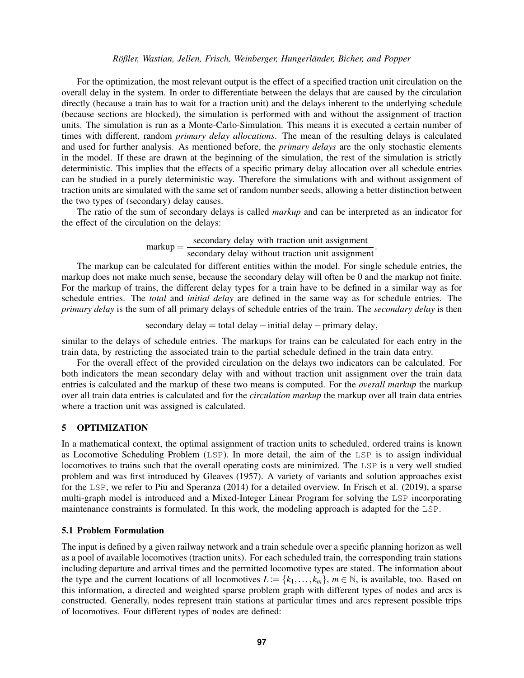For the optimization, the most relevant output is the effect of a specified traction unit circulation on the overall delay in the system. In order to differentiate between the delays that are caused by the circulation directly (because a train has to wait for a traction unit) and the delays inherent to the underlying schedule (because sections are blocked), the simulation is performed with and without the assignment of traction units. The simulation is run as a Monte-Carlo-Simulation. This means it is executed a certain number of times with different, random *primary delay allocations*. The mean of the resulting delays is calculated and used for further analysis. As mentioned before, the *primary delays* are the only stochastic elements in the model. If these are drawn at the beginning of the simulation, the rest of the simulation is strictly deterministic. This implies that the effects of a specific primary delay allocation over all schedule entries can be studied in a purely deterministic way. Therefore the simulations with and without assignment of traction units are simulated with the same set of random number seeds, allowing a better distinction between the two types of (secondary) delay causes.

The ratio of the sum of secondary delays is called *markup* and can be interpreted as an indicator for the effect of the circulation on the delays:

> $m$ arkup  $=$   $\frac{\text{secondary delay with traction unit assignment}}{\text{if } \frac{1}{2} \cdot \text{if } \frac{1}{2} \cdot \text{if } \frac{1}{2} \cdot \text{if } \frac{1}{2} \cdot \text{if } \frac{1}{2} \cdot \text{if } \frac{1}{2} \cdot \text{if } \frac{1}{2} \cdot \text{if } \frac{1}{2} \cdot \text{if } \frac{1}{2} \cdot \text{if } \frac{1}{2} \cdot \text{if } \frac{1}{2} \cdot \text{if } \frac{1}{2} \cdot \text{if } \frac{1}{2} \cdot \text{if } \frac{1}{2} \$ secondary delay without traction unit assignment.

The markup can be calculated for different entities within the model. For single schedule entries, the markup does not make much sense, because the secondary delay will often be 0 and the markup not finite. For the markup of trains, the different delay types for a train have to be defined in a similar way as for schedule entries. The *total* and *initial delay* are defined in the same way as for schedule entries. The *primary delay* is the sum of all primary delays of schedule entries of the train. The *secondary delay* is then

secondary delay = total delay − initial delay − primary delay,

similar to the delays of schedule entries. The markups for trains can be calculated for each entry in the train data, by restricting the associated train to the partial schedule defined in the train data entry.

For the overall effect of the provided circulation on the delays two indicators can be calculated. For both indicators the mean secondary delay with and without traction unit assignment over the train data entries is calculated and the markup of these two means is computed. For the *overall markup* the markup over all train data entries is calculated and for the *circulation markup* the markup over all train data entries where a traction unit was assigned is calculated.

# 5 OPTIMIZATION

In a mathematical context, the optimal assignment of traction units to scheduled, ordered trains is known as Locomotive Scheduling Problem (LSP). In more detail, the aim of the LSP is to assign individual locomotives to trains such that the overall operating costs are minimized. The LSP is a very well studied problem and was first introduced by [Gleaves \(1957\).](#page-10-11) A variety of variants and solution approaches exist for the LSP, we refer to [Piu and Speranza \(2014\)](#page-11-6) for a detailed overview. In [Frisch et al. \(2019\),](#page-10-3) a sparse multi-graph model is introduced and a Mixed-Integer Linear Program for solving the LSP incorporating maintenance constraints is formulated. In this work, the modeling approach is adapted for the LSP.

### 5.1 Problem Formulation

The input is defined by a given railway network and a train schedule over a specific planning horizon as well as a pool of available locomotives (traction units). For each scheduled train, the corresponding train stations including departure and arrival times and the permitted locomotive types are stated. The information about the type and the current locations of all locomotives  $L := \{k_1, \ldots, k_m\}$ ,  $m \in \mathbb{N}$ , is available, too. Based on this information, a directed and weighted sparse problem graph with different types of nodes and arcs is constructed. Generally, nodes represent train stations at particular times and arcs represent possible trips of locomotives. Four different types of nodes are defined: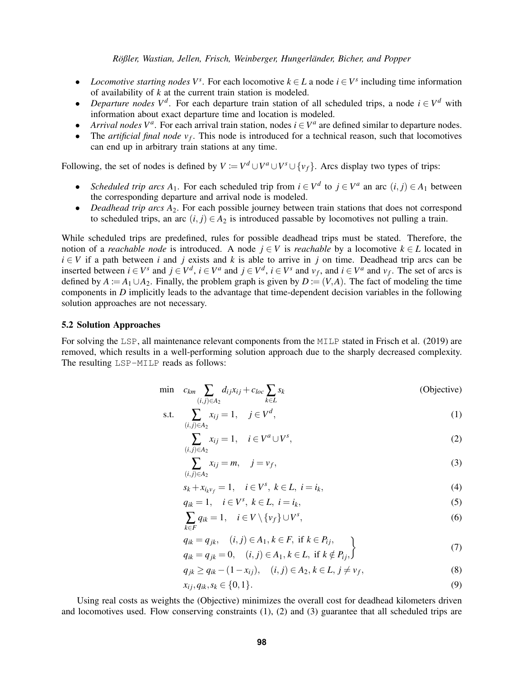- *Locomotive starting nodes*  $V^s$ . For each locomotive  $k \in L$  a node  $i \in V^s$  including time information of availability of *k* at the current train station is modeled.
- *Departure nodes*  $V^d$ . For each departure train station of all scheduled trips, a node  $i \in V^d$  with information about exact departure time and location is modeled.
- *Arrival nodes*  $V^a$ . For each arrival train station, nodes  $i \in V^a$  are defined similar to departure nodes.
- The *artificial final node*  $v_f$ . This node is introduced for a technical reason, such that locomotives can end up in arbitrary train stations at any time.

Following, the set of nodes is defined by  $V := V^d \cup V^a \cup V^s \cup \{v_f\}$ . Arcs display two types of trips:

- *Scheduled trip arcs*  $A_1$ . For each scheduled trip from  $i \in V^d$  to  $j \in V^a$  an arc  $(i, j) \in A_1$  between the corresponding departure and arrival node is modeled.
- *Deadhead trip arcs A*2. For each possible journey between train stations that does not correspond to scheduled trips, an arc  $(i, j) \in A_2$  is introduced passable by locomotives not pulling a train.

While scheduled trips are predefined, rules for possible deadhead trips must be stated. Therefore, the notion of a *reachable node* is introduced. A node  $j \in V$  is *reachable* by a locomotive  $k \in L$  located in *i* ∈ *V* if a path between *i* and *j* exists and *k* is able to arrive in *j* on time. Deadhead trip arcs can be inserted between  $i \in V^s$  and  $j \in V^d$ ,  $i \in V^a$  and  $j \in V^d$ ,  $i \in V^s$  and  $v_f$ , and  $i \in V^a$  and  $v_f$ . The set of arcs is defined by  $A := A_1 \cup A_2$ . Finally, the problem graph is given by  $D := (V, A)$ . The fact of modeling the time components in *D* implicitly leads to the advantage that time-dependent decision variables in the following solution approaches are not necessary.

#### 5.2 Solution Approaches

For solving the LSP, all maintenance relevant components from the MILP stated in [Frisch et al. \(2019\)](#page-10-3) are removed, which results in a well-performing solution approach due to the sharply decreased complexity. The resulting LSP-MILP reads as follows:

$$
\min \quad c_{km} \sum_{(i,j)\in A_2} d_{ij}x_{ij} + c_{loc} \sum_{k\in L} s_k \tag{Objective}
$$

s.t. 
$$
\sum_{(i,j)\in A_2} x_{ij} = 1, \quad j \in V^d,
$$
 (1)

<span id="page-8-3"></span><span id="page-8-2"></span><span id="page-8-1"></span><span id="page-8-0"></span>
$$
\sum_{(i,j)\in A_2} x_{ij} = 1, \quad i \in V^a \cup V^s,
$$
\n(2)

<span id="page-8-4"></span>
$$
\sum_{(i,j)\in A_2} x_{ij} = m, \quad j = v_f,\tag{3}
$$

$$
s_k + x_{i_k v_f} = 1, \quad i \in V^s, \ k \in L, \ i = i_k,
$$
\n(4)

<span id="page-8-6"></span><span id="page-8-5"></span>
$$
q_{ik} = 1, \quad i \in V^s, \ k \in L, \ i = i_k,
$$
\n
$$
(5)
$$

$$
\sum_{k \in F} q_{ik} = 1, \quad i \in V \setminus \{v_f\} \cup V^s,
$$
\n<sup>(6)</sup>

<span id="page-8-7"></span>
$$
q_{ik} = q_{jk}, \quad (i, j) \in A_1, k \in F, \text{ if } k \in P_{ij}, \qquad \}
$$
\n
$$
(7)
$$

$$
q_{ik} = q_{jk} = 0, \quad (i, j) \in A_1, k \in L, \text{ if } k \notin P_{ij},
$$

$$
q_{jk} \ge q_{ik} - (1 - x_{ij}), \quad (i, j) \in A_2, k \in L, j \neq v_f,
$$
\n(8)

<span id="page-8-8"></span>
$$
x_{ij}, q_{ik}, s_k \in \{0, 1\}.
$$
\n(9)

Using real costs as weights the [\(Objective\)](#page-8-0) minimizes the overall cost for deadhead kilometers driven and locomotives used. Flow conserving constraints [\(1\)](#page-8-1), [\(2\)](#page-8-2) and [\(3\)](#page-8-3) guarantee that all scheduled trips are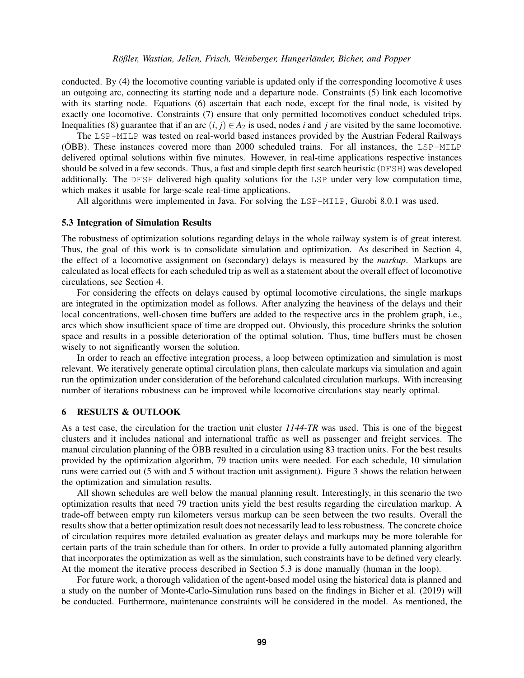conducted. By [\(4\)](#page-8-4) the locomotive counting variable is updated only if the corresponding locomotive *k* uses an outgoing arc, connecting its starting node and a departure node. Constraints [\(5\)](#page-8-5) link each locomotive with its starting node. Equations [\(6\)](#page-8-6) ascertain that each node, except for the final node, is visited by exactly one locomotive. Constraints [\(7\)](#page-8-7) ensure that only permitted locomotives conduct scheduled trips. Inequalities [\(8\)](#page-8-8) guarantee that if an arc  $(i, j) \in A_2$  is used, nodes *i* and *j* are visited by the same locomotive.

The LSP-MILP was tested on real-world based instances provided by the Austrian Federal Railways (OBB). These instances covered more than 2000 scheduled trains. For all instances, the LSP-MILP delivered optimal solutions within five minutes. However, in real-time applications respective instances should be solved in a few seconds. Thus, a fast and simple depth first search heuristic (DFSH) was developed additionally. The DFSH delivered high quality solutions for the LSP under very low computation time, which makes it usable for large-scale real-time applications.

All algorithms were implemented in Java. For solving the LSP-MILP, Gurobi 8.0.1 was used.

# <span id="page-9-0"></span>5.3 Integration of Simulation Results

The robustness of optimization solutions regarding delays in the whole railway system is of great interest. Thus, the goal of this work is to consolidate simulation and optimization. As described in Section [4,](#page-6-2) the effect of a locomotive assignment on (secondary) delays is measured by the *markup*. Markups are calculated as local effects for each scheduled trip as well as a statement about the overall effect of locomotive circulations, see Section [4.](#page-6-2)

For considering the effects on delays caused by optimal locomotive circulations, the single markups are integrated in the optimization model as follows. After analyzing the heaviness of the delays and their local concentrations, well-chosen time buffers are added to the respective arcs in the problem graph, i.e., arcs which show insufficient space of time are dropped out. Obviously, this procedure shrinks the solution space and results in a possible deterioration of the optimal solution. Thus, time buffers must be chosen wisely to not significantly worsen the solution.

In order to reach an effective integration process, a loop between optimization and simulation is most relevant. We iteratively generate optimal circulation plans, then calculate markups via simulation and again run the optimization under consideration of the beforehand calculated circulation markups. With increasing number of iterations robustness can be improved while locomotive circulations stay nearly optimal.

### 6 RESULTS & OUTLOOK

As a test case, the circulation for the traction unit cluster *1144-TR* was used. This is one of the biggest clusters and it includes national and international traffic as well as passenger and freight services. The manual circulation planning of the ÖBB resulted in a circulation using 83 traction units. For the best results provided by the optimization algorithm, 79 traction units were needed. For each schedule, 10 simulation runs were carried out (5 with and 5 without traction unit assignment). Figure [3](#page-10-12) shows the relation between the optimization and simulation results.

All shown schedules are well below the manual planning result. Interestingly, in this scenario the two optimization results that need 79 traction units yield the best results regarding the circulation markup. A trade-off between empty run kilometers versus markup can be seen between the two results. Overall the results show that a better optimization result does not necessarily lead to less robustness. The concrete choice of circulation requires more detailed evaluation as greater delays and markups may be more tolerable for certain parts of the train schedule than for others. In order to provide a fully automated planning algorithm that incorporates the optimization as well as the simulation, such constraints have to be defined very clearly. At the moment the iterative process described in Section [5.3](#page-9-0) is done manually (human in the loop).

For future work, a thorough validation of the agent-based model using the historical data is planned and a study on the number of Monte-Carlo-Simulation runs based on the findings in [Bicher et al. \(2019\)](#page-10-13) will be conducted. Furthermore, maintenance constraints will be considered in the model. As mentioned, the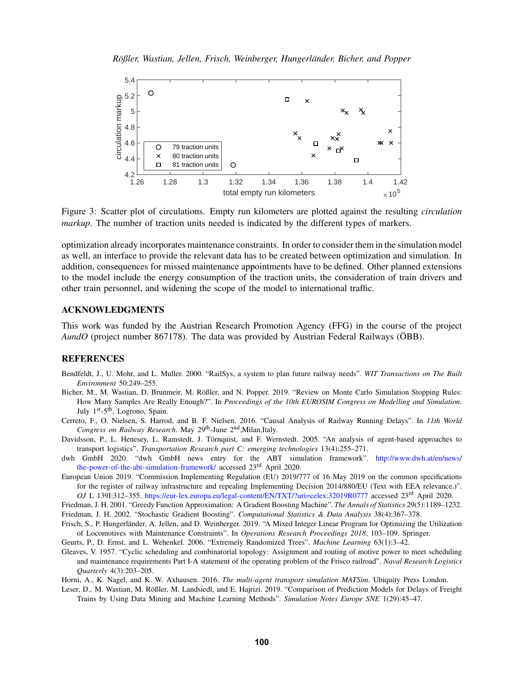

<span id="page-10-12"></span>Figure 3: Scatter plot of circulations. Empty run kilometers are plotted against the resulting *circulation markup*. The number of traction units needed is indicated by the different types of markers.

optimization already incorporates maintenance constraints. In order to consider them in the simulation model as well, an interface to provide the relevant data has to be created between optimization and simulation. In addition, consequences for missed maintenance appointments have to be defined. Other planned extensions to the model include the energy consumption of the traction units, the consideration of train drivers and other train personnel, and widening the scope of the model to international traffic.

# ACKNOWLEDGMENTS

This work was funded by the Austrian Research Promotion Agency (FFG) in the course of the project *AundO* (project number 867178). The data was provided by Austrian Federal Railways (ÖBB).

# **REFERENCES**

- <span id="page-10-1"></span>Bendfeldt, J., U. Mohr, and L. Muller. 2000. "RailSys, a system to plan future railway needs". *WIT Transactions on The Built Environment* 50:249–255.
- <span id="page-10-13"></span>Bicher, M., M. Wastian, D. Brunmeir, M. Rößler, and N. Popper. 2019. "Review on Monte Carlo Simulation Stopping Rules: How Many Samples Are Really Enough?". In *Proceedings of the 10th EUROSIM Congress on Modelling and Simulation*. July  $1<sup>st</sup> - 5<sup>th</sup>$ , Logrono, Spain.
- <span id="page-10-5"></span>Cerreto, F., O. Nielsen, S. Harrod, and B. F. Nielsen. 2016. "Causal Analysis of Railway Running Delays". In *11th World Congress on Railway Research*. May 29th-June 2nd,Milan,Italy.
- <span id="page-10-0"></span>Davidsson, P., L. Henesey, L. Ramstedt, J. Törnquist, and F. Wernstedt. 2005. "An analysis of agent-based approaches to transport logistics". *Transportation Research part C: emerging technologies* 13(4):255–271.
- <span id="page-10-10"></span>dwh GmbH 2020. "dwh GmbH news entry for the ABT simulation framework". [http://www.dwh.at/en/news/](http://www.dwh.at/en/news/the-power-of-the-abt-simulation-framework/) [the-power-of-the-abt-simulation-framework/](http://www.dwh.at/en/news/the-power-of-the-abt-simulation-framework/) accessed 23<sup>rd</sup> April 2020.
- <span id="page-10-4"></span>European Union 2019. "Commission Implementing Regulation (EU) 2019/777 of 16 May 2019 on the common specifications for the register of railway infrastructure and repealing Implementing Decision 2014/880/EU (Text with EEA relevance.)". *OJ* L 139I:312–355. <https://eur-lex.europa.eu/legal-content/EN/TXT/?uri=celex:32019R0777> accessed 23<sup>rd</sup> April 2020.

<span id="page-10-7"></span>Friedman, J. H. 2001. "Greedy Function Approximation: A Gradient Boosting Machine". *The Annals of Statistics* 29(5):1189–1232.

<span id="page-10-8"></span>Friedman, J. H. 2002. "Stochastic Gradient Boosting". *Computational Statistics & Data Analysis* 38(4):367–378.

- <span id="page-10-3"></span>Frisch, S., P. Hungerländer, A. Jellen, and D. Weinberger. 2019. "A Mixed Integer Linear Program for Optimizing the Utilization of Locomotives with Maintenance Constraints". In *Operations Research Proceedings 2018*, 103–109. Springer.
- <span id="page-10-6"></span>Geurts, P., D. Ernst, and L. Wehenkel. 2006. "Extremely Randomized Trees". *Machine Learning* 63(1):3–42.
- <span id="page-10-11"></span>Gleaves, V. 1957. "Cyclic scheduling and combinatorial topology: Assignment and routing of motive power to meet scheduling and maintenance requirements Part I-A statement of the operating problem of the Frisco railroad". *Naval Research Logistics Quarterly* 4(3):203–205.

<span id="page-10-2"></span>Horni, A., K. Nagel, and K. W. Axhausen. 2016. *The multi-agent transport simulation MATSim*. Ubiquity Press London.

<span id="page-10-9"></span>Leser, D., M. Wastian, M. Rößler, M. Landsiedl, and E. Hajrizi. 2019. "Comparison of Prediction Models for Delays of Freight Trains by Using Data Mining and Machine Learning Methods". *Simulation Notes Europe SNE* 1(29):45–47.